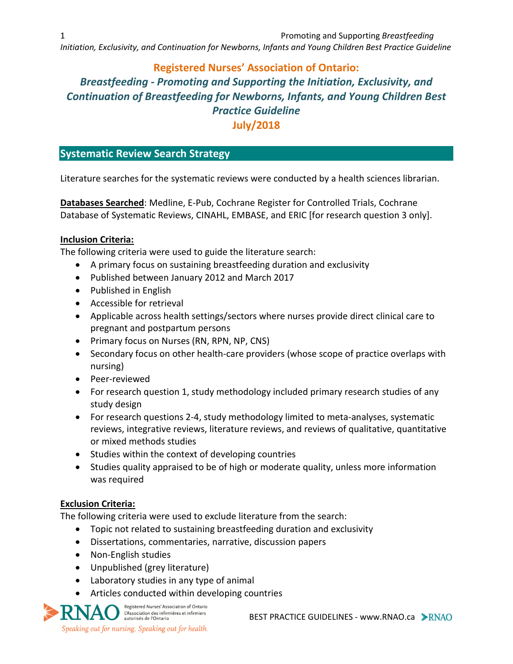*Initiation, Exclusivity, and Continuation for Newborns, Infants and Young Children Best Practice Guideline*

# **Registered Nurses' Association of Ontario:** *Breastfeeding - Promoting and Supporting the Initiation, Exclusivity, and Continuation of Breastfeeding for Newborns, Infants, and Young Children Best Practice Guideline* **July/2018**

# **Systematic Review Search Strategy**

Literature searches for the systematic reviews were conducted by a health sciences librarian.

**Databases Searched**: Medline, E-Pub, Cochrane Register for Controlled Trials, Cochrane Database of Systematic Reviews, CINAHL, EMBASE, and ERIC [for research question 3 only].

#### **Inclusion Criteria:**

The following criteria were used to guide the literature search:

- A primary focus on sustaining breastfeeding duration and exclusivity
- Published between January 2012 and March 2017
- Published in English
- Accessible for retrieval
- Applicable across health settings/sectors where nurses provide direct clinical care to pregnant and postpartum persons
- Primary focus on Nurses (RN, RPN, NP, CNS)
- Secondary focus on other health-care providers (whose scope of practice overlaps with nursing)
- Peer-reviewed
- For research question 1, study methodology included primary research studies of any study design
- For research questions 2-4, study methodology limited to meta-analyses, systematic reviews, integrative reviews, literature reviews, and reviews of qualitative, quantitative or mixed methods studies
- Studies within the context of developing countries
- Studies quality appraised to be of high or moderate quality, unless more information was required

## **Exclusion Criteria:**

The following criteria were used to exclude literature from the search:

- Topic not related to sustaining breastfeeding duration and exclusivity
- Dissertations, commentaries, narrative, discussion papers
- Non-English studies
- Unpublished (grey literature)
- Laboratory studies in any type of animal
- Articles conducted within developing countries

Registered Nurses' Association of Ontario L'Association des infirmières et infirmiers<br>autorisés de l'Ontario Speaking out for nursing. Speaking out for health.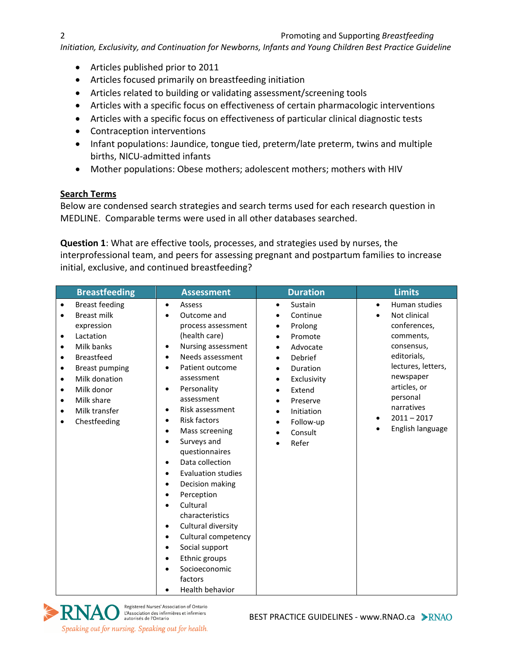*Initiation, Exclusivity, and Continuation for Newborns, Infants and Young Children Best Practice Guideline*

- Articles published prior to 2011
- Articles focused primarily on breastfeeding initiation
- Articles related to building or validating assessment/screening tools
- Articles with a specific focus on effectiveness of certain pharmacologic interventions
- Articles with a specific focus on effectiveness of particular clinical diagnostic tests
- Contraception interventions
- Infant populations: Jaundice, tongue tied, preterm/late preterm, twins and multiple births, NICU-admitted infants
- Mother populations: Obese mothers; adolescent mothers; mothers with HIV

## **Search Terms**

Below are condensed search strategies and search terms used for each research question in MEDLINE. Comparable terms were used in all other databases searched.

**Question 1**: What are effective tools, processes, and strategies used by nurses, the interprofessional team, and peers for assessing pregnant and postpartum families to increase initial, exclusive, and continued breastfeeding?

| <b>Breastfeeding</b>                                                                                                                                                                                                                                                                                                                            | <b>Assessment</b>                                                                                                                                                                                                                                                                                                                                                                                                                                                                                                                                                                      | <b>Duration</b>                                                                                                                                                                                                                                                                                    | <b>Limits</b>                                                                                                                                                                                                                                    |
|-------------------------------------------------------------------------------------------------------------------------------------------------------------------------------------------------------------------------------------------------------------------------------------------------------------------------------------------------|----------------------------------------------------------------------------------------------------------------------------------------------------------------------------------------------------------------------------------------------------------------------------------------------------------------------------------------------------------------------------------------------------------------------------------------------------------------------------------------------------------------------------------------------------------------------------------------|----------------------------------------------------------------------------------------------------------------------------------------------------------------------------------------------------------------------------------------------------------------------------------------------------|--------------------------------------------------------------------------------------------------------------------------------------------------------------------------------------------------------------------------------------------------|
| <b>Breast feeding</b><br>$\bullet$<br><b>Breast milk</b><br>$\bullet$<br>expression<br>Lactation<br>$\bullet$<br>Milk banks<br>$\bullet$<br><b>Breastfeed</b><br>٠<br><b>Breast pumping</b><br>٠<br>Milk donation<br>$\bullet$<br>Milk donor<br>$\bullet$<br>Milk share<br>$\bullet$<br>Milk transfer<br>$\bullet$<br>Chestfeeding<br>$\bullet$ | Assess<br>$\bullet$<br>Outcome and<br>process assessment<br>(health care)<br>Nursing assessment<br>Needs assessment<br>$\bullet$<br>Patient outcome<br>assessment<br>Personality<br>٠<br>assessment<br>Risk assessment<br><b>Risk factors</b><br>Mass screening<br>Surveys and<br>questionnaires<br>Data collection<br><b>Evaluation studies</b><br>Decision making<br>Perception<br>Cultural<br>characteristics<br>Cultural diversity<br>$\bullet$<br>Cultural competency<br>$\bullet$<br>Social support<br>Ethnic groups<br>Socioeconomic<br>factors<br>Health behavior<br>$\bullet$ | Sustain<br>$\bullet$<br>Continue<br>$\bullet$<br>Prolong<br>$\bullet$<br>Promote<br>$\bullet$<br>Advocate<br>Debrief<br>$\bullet$<br>Duration<br>$\bullet$<br>Exclusivity<br>$\bullet$<br>Extend<br>$\bullet$<br>Preserve<br>Initiation<br>$\bullet$<br>Follow-up<br>$\bullet$<br>Consult<br>Refer | Human studies<br>$\bullet$<br>Not clinical<br>$\bullet$<br>conferences,<br>comments,<br>consensus,<br>editorials,<br>lectures, letters,<br>newspaper<br>articles, or<br>personal<br>narratives<br>$2011 - 2017$<br>English language<br>$\bullet$ |

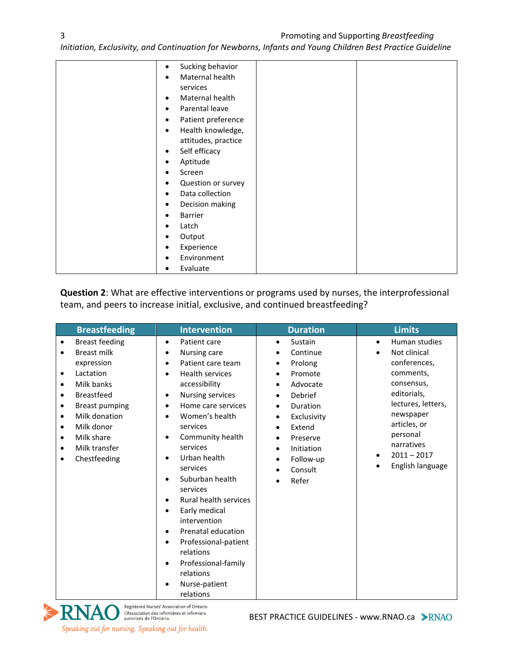### 3 Promoting and Supporting *Breastfeeding*

*Initiation, Exclusivity, and Continuation for Newborns, Infants and Young Children Best Practice Guideline*

| Sucking behavior<br>$\bullet$   |  |
|---------------------------------|--|
| Maternal health<br>$\bullet$    |  |
| services                        |  |
| Maternal health<br>٠            |  |
| Parental leave<br>$\bullet$     |  |
| Patient preference<br>$\bullet$ |  |
| Health knowledge,<br>$\bullet$  |  |
| attitudes, practice             |  |
| Self efficacy<br>$\bullet$      |  |
| Aptitude                        |  |
| Screen<br>$\bullet$             |  |
| Question or survey              |  |
| Data collection<br>$\bullet$    |  |
| Decision making<br>٠            |  |
| Barrier<br>$\bullet$            |  |
| Latch                           |  |
| Output<br>٠                     |  |
| Experience<br>٠                 |  |
| Environment                     |  |
| Evaluate<br>٠                   |  |

**Question 2**: What are effective interventions or programs used by nurses, the interprofessional team, and peers to increase initial, exclusive, and continued breastfeeding?

| <b>Breastfeeding</b>                                                                                                                                                                                                                                                                                                                                            | <b>Intervention</b>                                                                                                                                                                                                                                                                                                                                                                                                                                                                                                                                                                                                            | <b>Duration</b>                                                                                                                                                                                                                                                                                                              | <b>Limits</b>                                                                                                                                                                                                                                                 |
|-----------------------------------------------------------------------------------------------------------------------------------------------------------------------------------------------------------------------------------------------------------------------------------------------------------------------------------------------------------------|--------------------------------------------------------------------------------------------------------------------------------------------------------------------------------------------------------------------------------------------------------------------------------------------------------------------------------------------------------------------------------------------------------------------------------------------------------------------------------------------------------------------------------------------------------------------------------------------------------------------------------|------------------------------------------------------------------------------------------------------------------------------------------------------------------------------------------------------------------------------------------------------------------------------------------------------------------------------|---------------------------------------------------------------------------------------------------------------------------------------------------------------------------------------------------------------------------------------------------------------|
| <b>Breast feeding</b><br>$\bullet$<br><b>Breast milk</b><br>$\bullet$<br>expression<br>Lactation<br>$\bullet$<br>Milk banks<br>$\bullet$<br><b>Breastfeed</b><br>$\bullet$<br><b>Breast pumping</b><br>$\bullet$<br>Milk donation<br>$\bullet$<br>Milk donor<br>$\bullet$<br>Milk share<br>$\bullet$<br>Milk transfer<br>$\bullet$<br>Chestfeeding<br>$\bullet$ | Patient care<br>$\bullet$<br>Nursing care<br>$\bullet$<br>Patient care team<br>$\bullet$<br><b>Health services</b><br>$\bullet$<br>accessibility<br><b>Nursing services</b><br>$\bullet$<br>Home care services<br>$\bullet$<br>Women's health<br>services<br>Community health<br>٠<br>services<br>Urban health<br>$\bullet$<br>services<br>Suburban health<br>services<br>Rural health services<br>$\bullet$<br>Early medical<br>$\bullet$<br>intervention<br>Prenatal education<br>$\bullet$<br>Professional-patient<br>$\bullet$<br>relations<br>Professional-family<br>$\bullet$<br>relations<br>Nurse-patient<br>relations | Sustain<br>$\bullet$<br>Continue<br>$\bullet$<br>Prolong<br>$\bullet$<br>Promote<br>$\bullet$<br>Advocate<br>$\bullet$<br>Debrief<br>$\bullet$<br>Duration<br>$\bullet$<br>Exclusivity<br>$\bullet$<br>Extend<br>$\bullet$<br>Preserve<br>$\bullet$<br>Initiation<br>$\bullet$<br>Follow-up<br>$\bullet$<br>Consult<br>Refer | Human studies<br>$\bullet$<br>Not clinical<br>$\bullet$<br>conferences,<br>comments,<br>consensus,<br>editorials,<br>lectures, letters,<br>newspaper<br>articles, or<br>personal<br>narratives<br>$2011 - 2017$<br>$\bullet$<br>English language<br>$\bullet$ |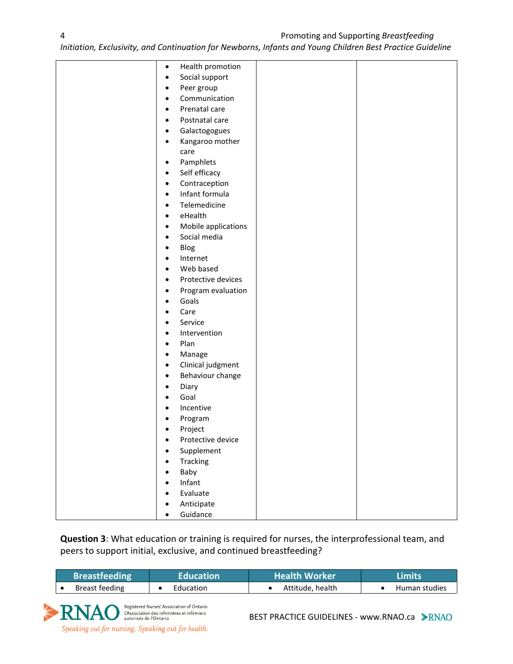*Initiation, Exclusivity, and Continuation for Newborns, Infants and Young Children Best Practice Guideline*

| $\bullet$      | Health promotion    |  |
|----------------|---------------------|--|
| $\bullet$      | Social support      |  |
| $\bullet$      | Peer group          |  |
| $\bullet$      | Communication       |  |
| $\bullet$      | Prenatal care       |  |
| $\bullet$      | Postnatal care      |  |
| $\bullet$      | Galactogogues       |  |
| $\bullet$      | Kangaroo mother     |  |
|                | care                |  |
| $\bullet$      | Pamphlets           |  |
| $\bullet$      | Self efficacy       |  |
| $\bullet$      | Contraception       |  |
| $\bullet$      | Infant formula      |  |
| $\bullet$      | Telemedicine        |  |
| $\bullet$      | eHealth             |  |
| $\bullet$      | Mobile applications |  |
| ٠              | Social media        |  |
| $\bullet$      | Blog                |  |
| $\bullet$      | Internet            |  |
| $\bullet$      | Web based           |  |
| $\bullet$      | Protective devices  |  |
| $\bullet$      | Program evaluation  |  |
| ٠              | Goals               |  |
| ٠              | Care                |  |
| ٠              | Service             |  |
| $\bullet$      | Intervention        |  |
| $\bullet$      | Plan                |  |
| $\bullet$      | Manage              |  |
| $\bullet$      | Clinical judgment   |  |
| $\bullet$      | Behaviour change    |  |
| ٠              | Diary<br>Goal       |  |
| ٠<br>$\bullet$ | Incentive           |  |
| $\bullet$      | Program             |  |
| ٠              | Project             |  |
| $\bullet$      | Protective device   |  |
| $\bullet$      | Supplement          |  |
| $\bullet$      | Tracking            |  |
| $\bullet$      | Baby                |  |
| $\bullet$      | Infant              |  |
| ٠              | Evaluate            |  |
| ٠              | Anticipate          |  |
| ٠              | Guidance            |  |

**Question 3**: What education or training is required for nurses, the interprofessional team, and peers to support initial, exclusive, and continued breastfeeding?

| <b>Breastfeeding</b> | <b>Education '</b> | <b>Health Worker</b> | Limits'       |
|----------------------|--------------------|----------------------|---------------|
| Breast feeding       | Education          | Attitude, health     | Human studies |



BEST PRACTICE GUIDELINES - www.RNAO.ca > RNAO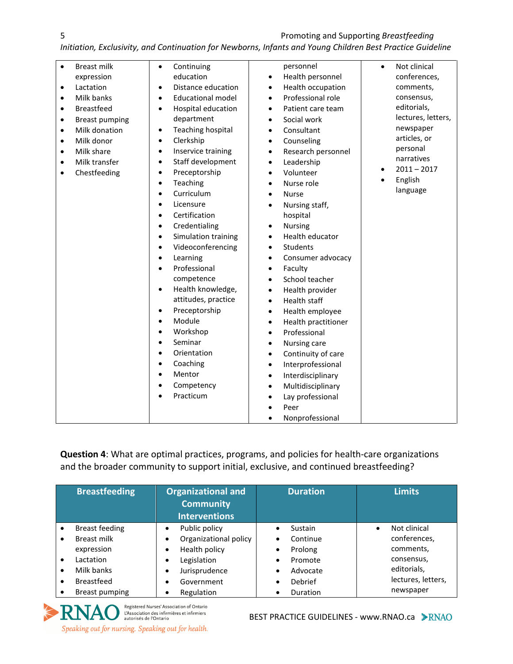5 Promoting and Supporting *Breastfeeding* 

*Initiation, Exclusivity, and Continuation for Newborns, Infants and Young Children Best Practice Guideline*

| $\bullet$ | <b>Breast milk</b>    | $\bullet$ | Continuing               |           | personnel           | $\bullet$ | Not clinical       |
|-----------|-----------------------|-----------|--------------------------|-----------|---------------------|-----------|--------------------|
|           | expression            |           | education                | $\bullet$ | Health personnel    |           | conferences,       |
| ٠         | Lactation             | $\bullet$ | Distance education       | $\bullet$ | Health occupation   |           | comments,          |
| $\bullet$ | Milk banks            | $\bullet$ | <b>Educational model</b> | $\bullet$ | Professional role   |           | consensus,         |
| $\bullet$ | <b>Breastfeed</b>     | $\bullet$ | Hospital education       | $\bullet$ | Patient care team   |           | editorials,        |
| $\bullet$ | <b>Breast pumping</b> |           | department               | $\bullet$ | Social work         |           | lectures, letters, |
| $\bullet$ | Milk donation         | $\bullet$ | <b>Teaching hospital</b> | $\bullet$ | Consultant          |           | newspaper          |
| ٠         | Milk donor            | $\bullet$ | Clerkship                | $\bullet$ | Counseling          |           | articles, or       |
| ٠         | Milk share            | $\bullet$ | Inservice training       | $\bullet$ | Research personnel  |           | personal           |
| $\bullet$ | Milk transfer         | $\bullet$ | Staff development        | $\bullet$ | Leadership          |           | narratives         |
| ٠         | Chestfeeding          | $\bullet$ | Preceptorship            |           | Volunteer           |           | $2011 - 2017$      |
|           |                       | $\bullet$ | Teaching                 |           | Nurse role          |           | English            |
|           |                       | $\bullet$ | Curriculum               |           | <b>Nurse</b>        |           | language           |
|           |                       | $\bullet$ | Licensure                |           | Nursing staff,      |           |                    |
|           |                       | $\bullet$ | Certification            |           | hospital            |           |                    |
|           |                       | $\bullet$ | Credentialing            | $\bullet$ | <b>Nursing</b>      |           |                    |
|           |                       | $\bullet$ | Simulation training      |           | Health educator     |           |                    |
|           |                       | $\bullet$ | Videoconferencing        | $\bullet$ | Students            |           |                    |
|           |                       | $\bullet$ | Learning                 | $\bullet$ | Consumer advocacy   |           |                    |
|           |                       | $\bullet$ | Professional             | $\bullet$ | Faculty             |           |                    |
|           |                       |           | competence               | $\bullet$ | School teacher      |           |                    |
|           |                       | $\bullet$ | Health knowledge,        | $\bullet$ | Health provider     |           |                    |
|           |                       |           | attitudes, practice      | $\bullet$ | Health staff        |           |                    |
|           |                       | $\bullet$ | Preceptorship            | $\bullet$ | Health employee     |           |                    |
|           |                       | $\bullet$ | Module                   | $\bullet$ | Health practitioner |           |                    |
|           |                       | $\bullet$ | Workshop                 | $\bullet$ | Professional        |           |                    |
|           |                       | $\bullet$ | Seminar                  | $\bullet$ | Nursing care        |           |                    |
|           |                       | $\bullet$ | Orientation              | $\bullet$ | Continuity of care  |           |                    |
|           |                       |           | Coaching                 | $\bullet$ | Interprofessional   |           |                    |
|           |                       | $\bullet$ | Mentor                   | $\bullet$ | Interdisciplinary   |           |                    |
|           |                       | $\bullet$ | Competency               |           | Multidisciplinary   |           |                    |
|           |                       |           | Practicum                |           | Lay professional    |           |                    |
|           |                       |           |                          |           | Peer                |           |                    |
|           |                       |           |                          |           | Nonprofessional     |           |                    |

**Question 4**: What are optimal practices, programs, and policies for health-care organizations and the broader community to support initial, exclusive, and continued breastfeeding?

|           | <b>Breastfeeding</b>                                                   | Organizational and<br><b>Community</b><br><b>Interventions</b>                           | <b>Duration</b>                                                       | <b>Limits</b>                                           |
|-----------|------------------------------------------------------------------------|------------------------------------------------------------------------------------------|-----------------------------------------------------------------------|---------------------------------------------------------|
| $\bullet$ | <b>Breast feeding</b><br><b>Breast milk</b><br>expression<br>Lactation | Public policy<br>$\bullet$<br>Organizational policy<br>Health policy<br>Legislation<br>٠ | Sustain<br>Continue<br>٠<br>Prolong<br>٠<br>Promote<br>$\bullet$      | Not clinical<br>conferences,<br>comments,<br>consensus, |
| ٠         | Milk banks<br><b>Breastfeed</b><br>Breast pumping                      | Jurisprudence<br>Government<br>٠<br>Regulation                                           | Advocate<br>$\bullet$<br>Debrief<br>$\bullet$<br><b>Duration</b><br>٠ | editorials,<br>lectures, letters,<br>newspaper          |

Registered Nurses' Association of Ontario **ENAO** Registered Nurses' Association of Ontario<br>autorisés de l'Ontario<br>autorisés de l'Ontario Speaking out for nursing. Speaking out for health.

BEST PRACTICE GUIDELINES - www.RNAO.ca > RNAO